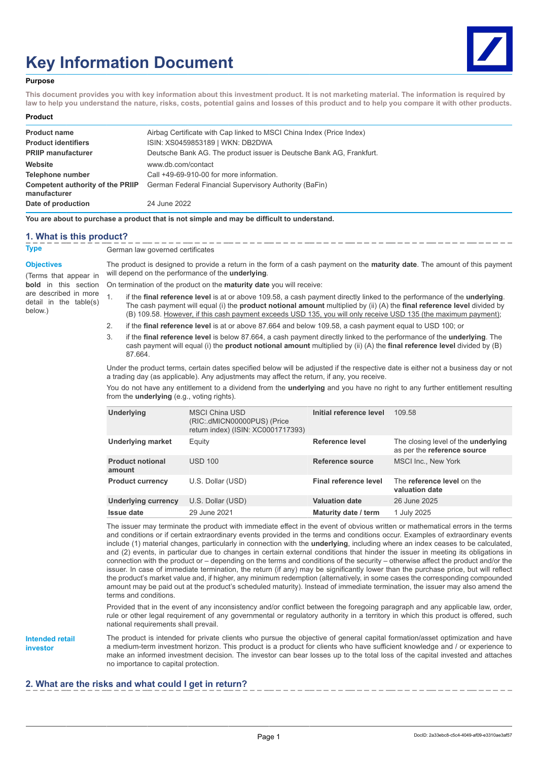# **Key Information Document**



### **Purpose**

**This document provides you with key information about this investment product. It is not marketing material. The information is required by law to help you understand the nature, risks, costs, potential gains and losses of this product and to help you compare it with other products.**

#### **Product**

| <b>Product name</b>                              | Airbag Certificate with Cap linked to MSCI China Index (Price Index) |
|--------------------------------------------------|----------------------------------------------------------------------|
| <b>Product identifiers</b>                       | ISIN: XS0459853189   WKN: DB2DWA                                     |
| <b>PRIIP manufacturer</b>                        | Deutsche Bank AG. The product issuer is Deutsche Bank AG, Frankfurt. |
| Website                                          | www.db.com/contact                                                   |
| Telephone number                                 | Call +49-69-910-00 for more information.                             |
| Competent authority of the PRIIP<br>manufacturer | German Federal Financial Supervisory Authority (BaFin)               |
| Date of production                               | 24 June 2022                                                         |

**You are about to purchase a product that is not simple and may be difficult to understand.**

### **1. What is this product?**

**Type** German law governed certificates

### **Objectives**

(Terms that appear in **bold** in this section are described in more detail in the table(s) below.)

The product is designed to provide a return in the form of a cash payment on the **maturity date**. The amount of this payment will depend on the performance of the **underlying**.

On termination of the product on the **maturity date** you will receive:

- 1. if the **final reference level** is at or above 109.58, a cash payment directly linked to the performance of the **underlying**. The cash payment will equal (i) the **product notional amount** multiplied by (ii) (A) the **final reference level** divided by (B) 109.58. However, if this cash payment exceeds USD 135, you will only receive USD 135 (the maximum payment);
- 2. if the **final reference level** is at or above 87.664 and below 109.58, a cash payment equal to USD 100; or
- 3. if the **final reference level** is below 87.664, a cash payment directly linked to the performance of the **underlying**. The cash payment will equal (i) the **product notional amount** multiplied by (ii) (A) the **final reference level** divided by (B) 87.664.

Under the product terms, certain dates specified below will be adjusted if the respective date is either not a business day or not a trading day (as applicable). Any adjustments may affect the return, if any, you receive.

You do not have any entitlement to a dividend from the **underlying** and you have no right to any further entitlement resulting from the **underlying** (e.g., voting rights).

| <b>Underlying</b>                 | <b>MSCI China USD</b><br>(RIC: dMICN00000PUS) (Price<br>return index) (ISIN: XC0001717393) | Initial reference level | 109.58                                                                    |
|-----------------------------------|--------------------------------------------------------------------------------------------|-------------------------|---------------------------------------------------------------------------|
| <b>Underlying market</b>          | Equity                                                                                     | Reference level         | The closing level of the <b>underlying</b><br>as per the reference source |
| <b>Product notional</b><br>amount | <b>USD 100</b>                                                                             | Reference source        | <b>MSCI Inc., New York</b>                                                |
| <b>Product currency</b>           | U.S. Dollar (USD)                                                                          | Final reference level   | The reference level on the<br>valuation date                              |
| <b>Underlying currency</b>        | U.S. Dollar (USD)                                                                          | <b>Valuation date</b>   | 26 June 2025                                                              |
| <b>Issue date</b>                 | 29 June 2021                                                                               | Maturity date / term    | 1 July 2025                                                               |

The issuer may terminate the product with immediate effect in the event of obvious written or mathematical errors in the terms and conditions or if certain extraordinary events provided in the terms and conditions occur. Examples of extraordinary events include (1) material changes, particularly in connection with the **underlying**, including where an index ceases to be calculated, and (2) events, in particular due to changes in certain external conditions that hinder the issuer in meeting its obligations in connection with the product or – depending on the terms and conditions of the security – otherwise affect the product and/or the issuer. In case of immediate termination, the return (if any) may be significantly lower than the purchase price, but will reflect the product's market value and, if higher, any minimum redemption (alternatively, in some cases the corresponding compounded amount may be paid out at the product's scheduled maturity). Instead of immediate termination, the issuer may also amend the terms and conditions.

Provided that in the event of any inconsistency and/or conflict between the foregoing paragraph and any applicable law, order, rule or other legal requirement of any governmental or regulatory authority in a territory in which this product is offered, such national requirements shall prevail.

**Intended retail investor**

The product is intended for private clients who pursue the objective of general capital formation/asset optimization and have a medium-term investment horizon. This product is a product for clients who have sufficient knowledge and / or experience to make an informed investment decision. The investor can bear losses up to the total loss of the capital invested and attaches no importance to capital protection.

## **2. What are the risks and what could I get in return?**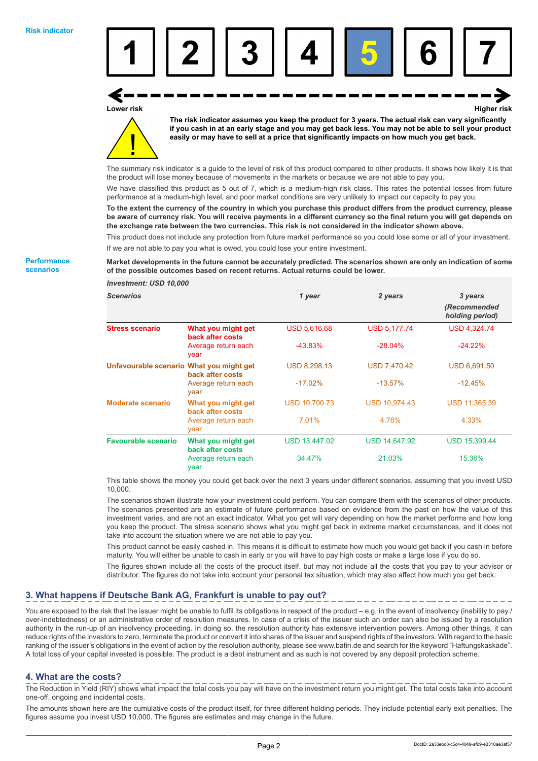

**Lower risk Higher risk**

**The risk indicator assumes you keep the product for 3 years. The actual risk can vary significantly if you cash in at an early stage and you may get back less. You may not be able to sell your product easily or may have to sell at a price that significantly impacts on how much you get back.**

The summary risk indicator is a guide to the level of risk of this product compared to other products. It shows how likely it is that the product will lose money because of movements in the markets or because we are not able to pay you.

We have classified this product as 5 out of 7, which is a medium-high risk class. This rates the potential losses from future performance at a medium-high level, and poor market conditions are very unlikely to impact our capacity to pay you.

**To the extent the currency of the country in which you purchase this product differs from the product currency, please be aware of currency risk. You will receive payments in a different currency so the final return you will get depends on the exchange rate between the two currencies. This risk is not considered in the indicator shown above.**

This product does not include any protection from future market performance so you could lose some or all of your investment. If we are not able to pay you what is owed, you could lose your entire investment.

### **Market developments in the future cannot be accurately predicted. The scenarios shown are only an indication of some of the possible outcomes based on recent returns. Actual returns could be lower.**

| Investment: USD 10,000                   |                                        |                      |                      |                                            |
|------------------------------------------|----------------------------------------|----------------------|----------------------|--------------------------------------------|
| <b>Scenarios</b>                         |                                        | 1 year               | 2 years              | 3 years<br>(Recommended<br>holding period) |
| <b>Stress scenario</b>                   | What you might get<br>back after costs | <b>USD 5,616.68</b>  | <b>USD 5,177.74</b>  | <b>USD 4,324.74</b>                        |
|                                          | Average return each<br>year            | $-43.83%$            | $-28.04%$            | $-24.22%$                                  |
| Unfavourable scenario What you might get | back after costs                       | <b>USD 8,298.13</b>  | <b>USD 7,470.42</b>  | USD 6,691.50                               |
|                                          | Average return each<br>year            | $-17.02%$            | $-13.57%$            | $-12.45%$                                  |
| <b>Moderate scenario</b>                 | What you might get<br>back after costs | <b>USD 10,700.73</b> | <b>USD 10,974.43</b> | <b>USD 11,365.39</b>                       |
|                                          | Average return each<br>year            | 7.01%                | 4.76%                | 4.33%                                      |
| <b>Favourable scenario</b>               | What you might get<br>back after costs | <b>USD 13,447.02</b> | <b>USD 14,647.92</b> | <b>USD 15,399.44</b>                       |
|                                          | Average return each<br>year            | 34.47%               | 21.03%               | 15.36%                                     |

This table shows the money you could get back over the next 3 years under different scenarios, assuming that you invest USD 10,000.

The scenarios shown illustrate how your investment could perform. You can compare them with the scenarios of other products. The scenarios presented are an estimate of future performance based on evidence from the past on how the value of this investment varies, and are not an exact indicator. What you get will vary depending on how the market performs and how long you keep the product. The stress scenario shows what you might get back in extreme market circumstances, and it does not take into account the situation where we are not able to pay you.

This product cannot be easily cashed in. This means it is difficult to estimate how much you would get back if you cash in before maturity. You will either be unable to cash in early or you will have to pay high costs or make a large loss if you do so.

The figures shown include all the costs of the product itself, but may not include all the costs that you pay to your advisor or distributor. The figures do not take into account your personal tax situation, which may also affect how much you get back.

# **3. What happens if Deutsche Bank AG, Frankfurt is unable to pay out?**

You are exposed to the risk that the issuer might be unable to fulfil its obligations in respect of the product – e.g. in the event of insolvency (inability to pay / over-indebtedness) or an administrative order of resolution measures. In case of a crisis of the issuer such an order can also be issued by a resolution authority in the run-up of an insolvency proceeding. In doing so, the resolution authority has extensive intervention powers. Among other things, it can reduce rights of the investors to zero, terminate the product or convert it into shares of the issuer and suspend rights of the investors. With regard to the basic ranking of the issuer's obligations in the event of action by the resolution authority, please see www.bafin.de and search for the keyword "Haftungskaskade". A total loss of your capital invested is possible. The product is a debt instrument and as such is not covered by any deposit protection scheme.

## **4. What are the costs?**

The Reduction in Yield (RIY) shows what impact the total costs you pay will have on the investment return you might get. The total costs take into account one-off, ongoing and incidental costs.

The amounts shown here are the cumulative costs of the product itself, for three different holding periods. They include potential early exit penalties. The figures assume you invest USD 10,000. The figures are estimates and may change in the future.

**Performance scenarios**